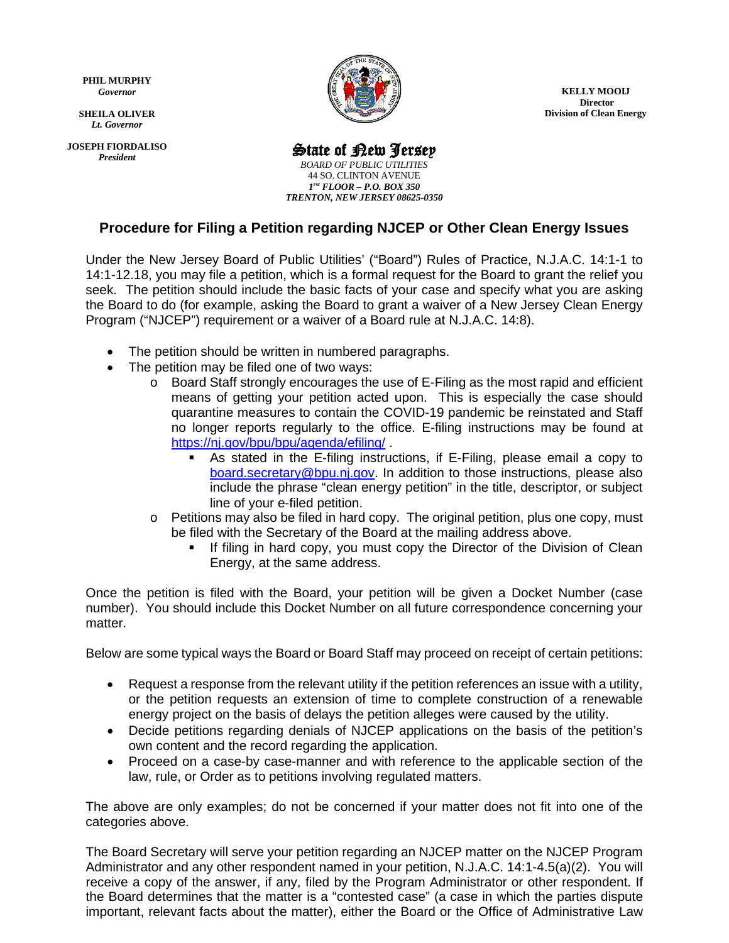**PHIL MURPHY** *Governor*

 *Lt. Governor* **SHEILA OLIVER**

**JOSEPH FIORDALISO** *President*



**KELLY MOOIJ Director Division of Clean Energy** 

## State of New Jersey

*BOARD OF PUBLIC UTILITIES* 44 SO. CLINTON AVENUE *1rst FLOOR – P.O. BOX 350 TRENTON, NEW JERSEY 08625-0350*

## **Procedure for Filing a Petition regarding NJCEP or Other Clean Energy Issues**

Under the New Jersey Board of Public Utilities' ("Board") Rules of Practice, N.J.A.C. 14:1-1 to 14:1-12.18, you may file a petition, which is a formal request for the Board to grant the relief you seek. The petition should include the basic facts of your case and specify what you are asking the Board to do (for example, asking the Board to grant a waiver of a New Jersey Clean Energy Program ("NJCEP") requirement or a waiver of a Board rule at N.J.A.C. 14:8).

- The petition should be written in numbered paragraphs.
- The petition may be filed one of two ways:
	- $\circ$  Board Staff strongly encourages the use of E-Filing as the most rapid and efficient means of getting your petition acted upon. This is especially the case should quarantine measures to contain the COVID-19 pandemic be reinstated and Staff no longer reports regularly to the office. E-filing instructions may be found at <https://nj.gov/bpu/bpu/agenda/efiling/> .
		- As stated in the E-filing instructions, if E-Filing, please email a copy to [board.secretary@bpu.nj.gov.](mailto:board.secretary@bpu.nj.gov) In addition to those instructions, please also include the phrase "clean energy petition" in the title, descriptor, or subject line of your e-filed petition.
		- $\circ$  Petitions may also be filed in hard copy. The original petition, plus one copy, must be filed with the Secretary of the Board at the mailing address above.
			- If filing in hard copy, you must copy the Director of the Division of Clean Energy, at the same address.

Once the petition is filed with the Board, your petition will be given a Docket Number (case number). You should include this Docket Number on all future correspondence concerning your matter.

Below are some typical ways the Board or Board Staff may proceed on receipt of certain petitions:

- Request a response from the relevant utility if the petition references an issue with a utility, or the petition requests an extension of time to complete construction of a renewable energy project on the basis of delays the petition alleges were caused by the utility.
- Decide petitions regarding denials of NJCEP applications on the basis of the petition's own content and the record regarding the application.
- Proceed on a case-by case-manner and with reference to the applicable section of the law, rule, or Order as to petitions involving regulated matters.

The above are only examples; do not be concerned if your matter does not fit into one of the categories above.

The Board Secretary will serve your petition regarding an NJCEP matter on the NJCEP Program Administrator and any other respondent named in your petition, N.J.A.C. 14:1-4.5(a)(2). You will receive a copy of the answer, if any, filed by the Program Administrator or other respondent. If the Board determines that the matter is a "contested case" (a case in which the parties dispute important, relevant facts about the matter), either the Board or the Office of Administrative Law